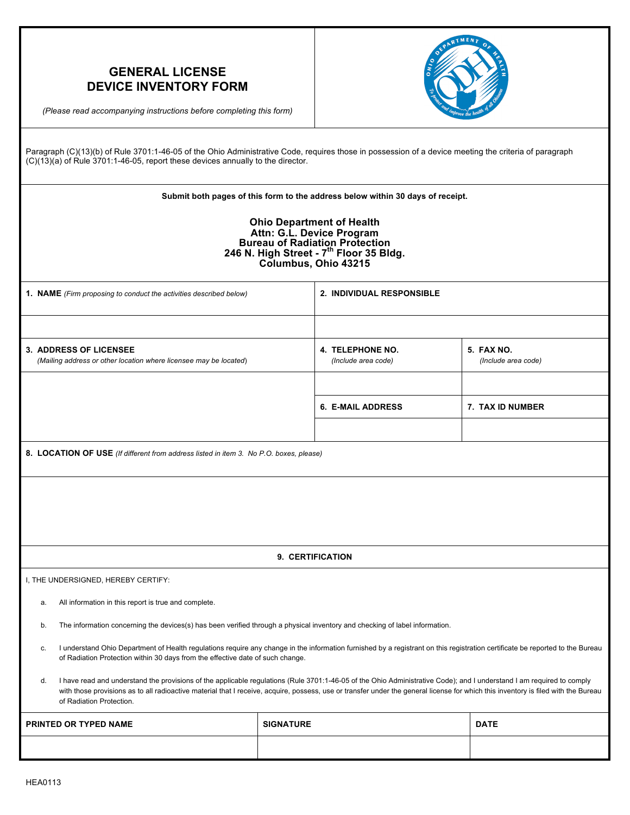| <b>GENERAL LICENSE</b><br><b>DEVICE INVENTORY FORM</b><br>(Please read accompanying instructions before completing this form)                                                                                                                                                                                                                                                                 |                                                |                                  |                                          |  |  |  |  |  |
|-----------------------------------------------------------------------------------------------------------------------------------------------------------------------------------------------------------------------------------------------------------------------------------------------------------------------------------------------------------------------------------------------|------------------------------------------------|----------------------------------|------------------------------------------|--|--|--|--|--|
| Paragraph (C)(13)(b) of Rule 3701:1-46-05 of the Ohio Administrative Code, requires those in possession of a device meeting the criteria of paragraph<br>(C)(13)(a) of Rule 3701:1-46-05, report these devices annually to the director.                                                                                                                                                      |                                                |                                  |                                          |  |  |  |  |  |
| Submit both pages of this form to the address below within 30 days of receipt.                                                                                                                                                                                                                                                                                                                |                                                |                                  |                                          |  |  |  |  |  |
| <b>Ohio Department of Health</b><br>Attn: G.L. Device Program<br>Bureau of Radiation Protection<br>246 N. High Street - 7 <sup>th</sup> Floor 35 Bldg.<br>Columbus, Ohio 43215                                                                                                                                                                                                                |                                                |                                  |                                          |  |  |  |  |  |
| 1. NAME (Firm proposing to conduct the activities described below)                                                                                                                                                                                                                                                                                                                            |                                                | <b>2. INDIVIDUAL RESPONSIBLE</b> |                                          |  |  |  |  |  |
|                                                                                                                                                                                                                                                                                                                                                                                               |                                                |                                  |                                          |  |  |  |  |  |
| <b>3. ADDRESS OF LICENSEE</b><br>(Mailing address or other location where licensee may be located)                                                                                                                                                                                                                                                                                            | <b>4. TELEPHONE NO.</b><br>(Include area code) |                                  | <b>5. FAX NO.</b><br>(Include area code) |  |  |  |  |  |
|                                                                                                                                                                                                                                                                                                                                                                                               |                                                |                                  |                                          |  |  |  |  |  |
|                                                                                                                                                                                                                                                                                                                                                                                               | <b>6. E-MAIL ADDRESS</b>                       |                                  | 7. TAX ID NUMBER                         |  |  |  |  |  |
|                                                                                                                                                                                                                                                                                                                                                                                               |                                                |                                  |                                          |  |  |  |  |  |
| 8. LOCATION OF USE (If different from address listed in item 3. No P.O. boxes, please)                                                                                                                                                                                                                                                                                                        |                                                |                                  |                                          |  |  |  |  |  |
|                                                                                                                                                                                                                                                                                                                                                                                               |                                                |                                  |                                          |  |  |  |  |  |
| 9. CERTIFICATION                                                                                                                                                                                                                                                                                                                                                                              |                                                |                                  |                                          |  |  |  |  |  |
| I, THE UNDERSIGNED, HEREBY CERTIFY:                                                                                                                                                                                                                                                                                                                                                           |                                                |                                  |                                          |  |  |  |  |  |
| All information in this report is true and complete.<br>a.                                                                                                                                                                                                                                                                                                                                    |                                                |                                  |                                          |  |  |  |  |  |
| The information concerning the devices(s) has been verified through a physical inventory and checking of label information.<br>b.                                                                                                                                                                                                                                                             |                                                |                                  |                                          |  |  |  |  |  |
| I understand Ohio Department of Health regulations require any change in the information furnished by a registrant on this registration certificate be reported to the Bureau<br>c.<br>of Radiation Protection within 30 days from the effective date of such change.                                                                                                                         |                                                |                                  |                                          |  |  |  |  |  |
| I have read and understand the provisions of the applicable regulations (Rule 3701:1-46-05 of the Ohio Administrative Code); and I understand I am required to comply<br>d.<br>with those provisions as to all radioactive material that I receive, acquire, possess, use or transfer under the general license for which this inventory is filed with the Bureau<br>of Radiation Protection. |                                                |                                  |                                          |  |  |  |  |  |
| PRINTED OR TYPED NAME                                                                                                                                                                                                                                                                                                                                                                         | <b>SIGNATURE</b>                               |                                  | <b>DATE</b>                              |  |  |  |  |  |
|                                                                                                                                                                                                                                                                                                                                                                                               |                                                |                                  |                                          |  |  |  |  |  |

٦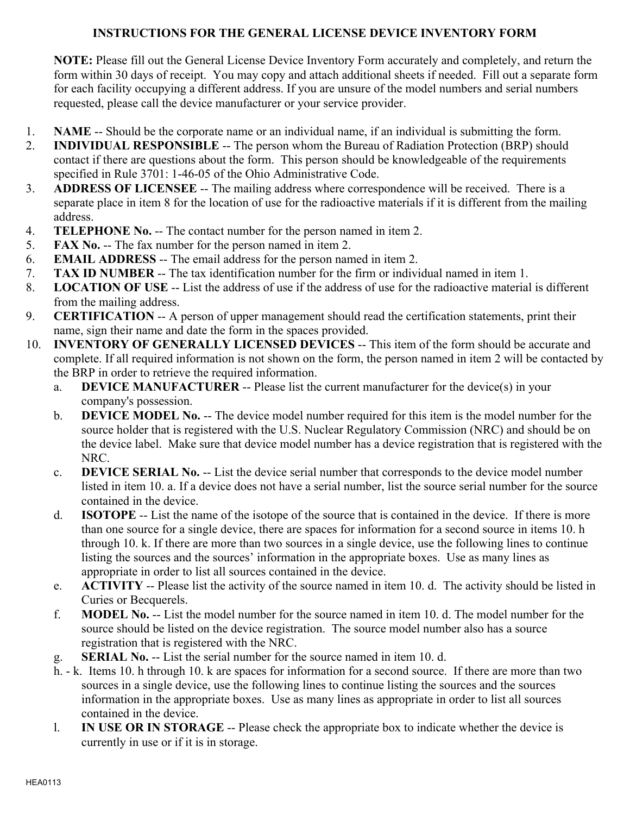## **INSTRUCTIONS FOR THE GENERAL LICENSE DEVICE INVENTORY FORM**

**NOTE:** Please fill out the General License Device Inventory Form accurately and completely, and return the form within 30 days of receipt. You may copy and attach additional sheets if needed. Fill out a separate form for each facility occupying a different address. If you are unsure of the model numbers and serial numbers requested, please call the device manufacturer or your service provider.

- 1. **NAME** -- Should be the corporate name or an individual name, if an individual is submitting the form.
- 2. **INDIVIDUAL RESPONSIBLE** -- The person whom the Bureau of Radiation Protection (BRP) should contact if there are questions about the form. This person should be knowledgeable of the requirements specified in Rule 3701: 1-46-05 of the Ohio Administrative Code.
- 3. **ADDRESS OF LICENSEE** -- The mailing address where correspondence will be received. There is a separate place in item 8 for the location of use for the radioactive materials if it is different from the mailing address.
- 4. **TELEPHONE No.** -- The contact number for the person named in item 2.
- 5. **FAX No.** -- The fax number for the person named in item 2.
- 6. **EMAIL ADDRESS** -- The email address for the person named in item 2.
- 7. **TAX ID NUMBER** -- The tax identification number for the firm or individual named in item 1.
- 8. **LOCATION OF USE** -- List the address of use if the address of use for the radioactive material is different from the mailing address.
- 9. **CERTIFICATION** -- A person of upper management should read the certification statements, print their name, sign their name and date the form in the spaces provided.
- 10. **INVENTORY OF GENERALLY LICENSED DEVICES** -- This item of the form should be accurate and complete. If all required information is not shown on the form, the person named in item 2 will be contacted by the BRP in order to retrieve the required information.
	- a. **DEVICE MANUFACTURER** -- Please list the current manufacturer for the device(s) in your company's possession.
	- b. **DEVICE MODEL No.** -- The device model number required for this item is the model number for the source holder that is registered with the U.S. Nuclear Regulatory Commission (NRC) and should be on the device label. Make sure that device model number has a device registration that is registered with the NRC.
	- c. **DEVICE SERIAL No.** -- List the device serial number that corresponds to the device model number listed in item 10. a. If a device does not have a serial number, list the source serial number for the source contained in the device.
	- d. **ISOTOPE** -- List the name of the isotope of the source that is contained in the device. If there is more than one source for a single device, there are spaces for information for a second source in items 10. h through 10. k. If there are more than two sources in a single device, use the following lines to continue listing the sources and the sources' information in the appropriate boxes. Use as many lines as appropriate in order to list all sources contained in the device.
	- e. **ACTIVITY** -- Please list the activity of the source named in item 10. d. The activity should be listed in Curies or Becquerels.
	- f. **MODEL No.** -- List the model number for the source named in item 10. d. The model number for the source should be listed on the device registration. The source model number also has a source registration that is registered with the NRC.
	- g. **SERIAL No.** -- List the serial number for the source named in item 10. d.
	- h. k. Items 10. h through 10. k are spaces for information for a second source. If there are more than two sources in a single device, use the following lines to continue listing the sources and the sources information in the appropriate boxes. Use as many lines as appropriate in order to list all sources contained in the device.
	- l. **IN USE OR IN STORAGE** -- Please check the appropriate box to indicate whether the device is currently in use or if it is in storage.